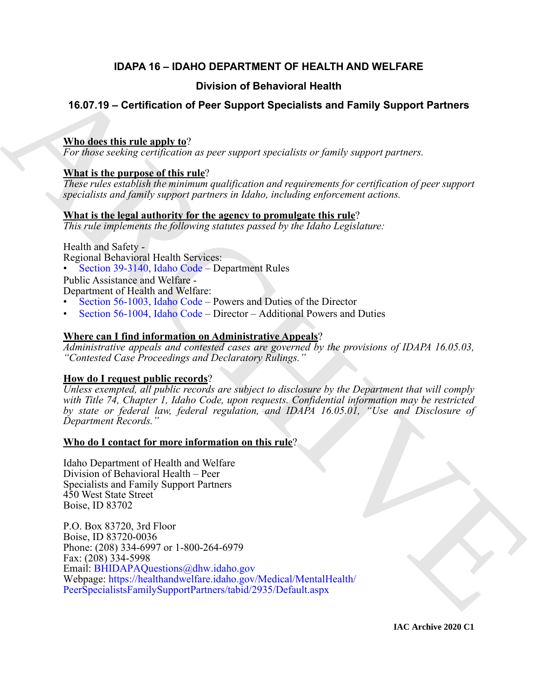### **IDAPA 16 – IDAHO DEPARTMENT OF HEALTH AND WELFARE**

#### **Division of Behavioral Health**

### **16.07.19 – Certification of Peer Support Specialists and Family Support Partners**

#### **Who does this rule apply to**?

*For those seeking certification as peer support specialists or family support partners.*

#### **What is the purpose of this rule**?

*These rules establish the minimum qualification and requirements for certification of peer support specialists and family support partners in Idaho, including enforcement actions.*

#### **What is the legal authority for the agency to promulgate this rule**?

*This rule implements the following statutes passed by the Idaho Legislature:*

Health and Safety -

Regional Behavioral Health Services:

• Section 39-3140, Idaho Code – Department Rules

Public Assistance and Welfare - Department of Health and Welfare:

- Section 56-1003, Idaho Code Powers and Duties of the Director
- Section 56-1004, Idaho Code Director Additional Powers and Duties

#### **Where can I find information on Administrative Appeals**?

*Administrative appeals and contested cases are governed by the provisions of IDAPA 16.05.03, "Contested Case Proceedings and Declaratory Rulings."*

#### **How do I request public records**?

*Unless exempted, all public records are subject to disclosure by the Department that will comply with Title 74, Chapter 1, Idaho Code, upon requests. Confidential information may be restricted by state or federal law, federal regulation, and IDAPA 16.05.01, "Use and Disclosure of Department Records."*

#### **Who do I contact for more information on this rule**?

Idaho Department of Health and Welfare Division of Behavioral Health – Peer Specialists and Family Support Partners 450 West State Street Boise, ID 83702

**16.07.19 - Certification of Behavioral Health<br>
16.07.19 - Certification of Peer Support Specialists and Family Support Partners<br>
When differential angly to**  $\eta$  **consider the real of the state of the state of the state of** P.O. Box 83720, 3rd Floor Boise, ID 83720-0036 Phone: (208) 334-6997 or 1-800-264-6979 Fax: (208) 334-5998 Email: BHIDAPAQuestions@dhw.idaho.gov Webpage: https://healthandwelfare.idaho.gov/Medical/MentalHealth/ PeerSpecialistsFamilySupportPartners/tabid/2935/Default.aspx

**IAC Archive 2020 C1**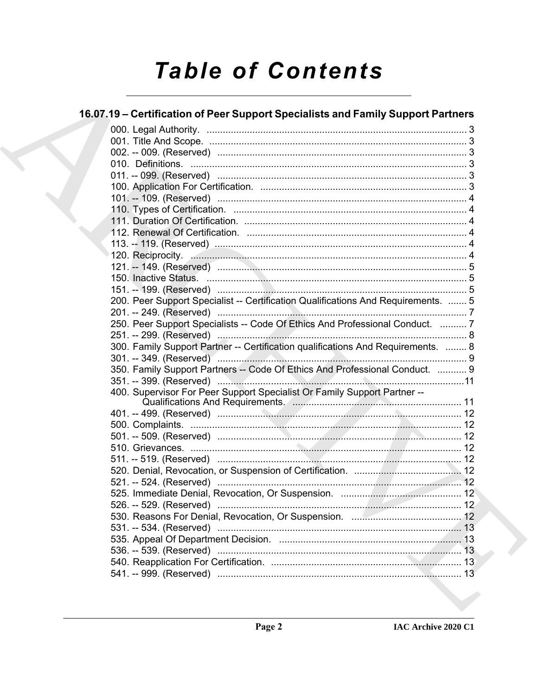# **Table of Contents**

### 16.07.19 - Certification of Peer Support Specialists and Family Support Partners

| 200. Peer Support Specialist -- Certification Qualifications And Requirements.  5 |  |
|-----------------------------------------------------------------------------------|--|
|                                                                                   |  |
| 250. Peer Support Specialists -- Code Of Ethics And Professional Conduct.  7      |  |
|                                                                                   |  |
| 300. Family Support Partner -- Certification qualifications And Requirements.  8  |  |
|                                                                                   |  |
| 350. Family Support Partners -- Code Of Ethics And Professional Conduct.  9       |  |
|                                                                                   |  |
| 400. Supervisor For Peer Support Specialist Or Family Support Partner --          |  |
|                                                                                   |  |
|                                                                                   |  |
|                                                                                   |  |
|                                                                                   |  |
|                                                                                   |  |
|                                                                                   |  |
|                                                                                   |  |
|                                                                                   |  |
|                                                                                   |  |
|                                                                                   |  |
|                                                                                   |  |
|                                                                                   |  |
|                                                                                   |  |
|                                                                                   |  |
|                                                                                   |  |
|                                                                                   |  |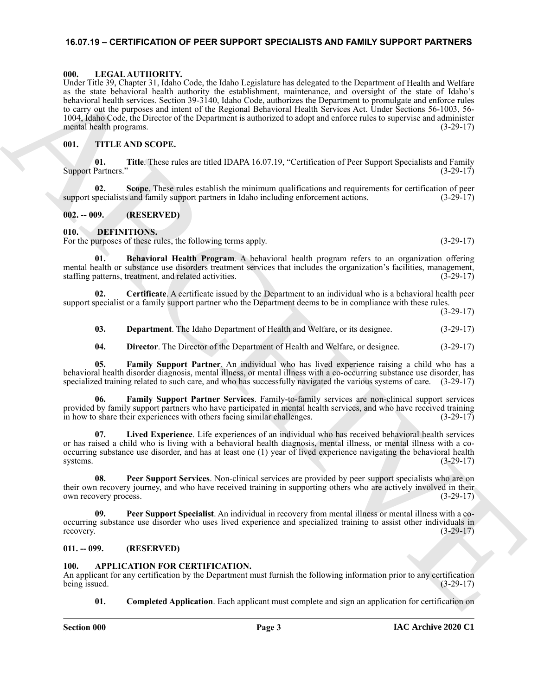#### <span id="page-2-0"></span>**16.07.19 – CERTIFICATION OF PEER SUPPORT SPECIALISTS AND FAMILY SUPPORT PARTNERS**

#### <span id="page-2-19"></span><span id="page-2-1"></span>**000. LEGAL AUTHORITY.**

Land, Tab. 20, Captures and the bit contract the state of the state and the state and the state of the state of the state of the state of the state of the state of the state of the state of the state of the state of the s Under Title 39, Chapter 31, Idaho Code, the Idaho Legislature has delegated to the Department of Health and Welfare as the state behavioral health authority the establishment, maintenance, and oversight of the state of Idaho's behavioral health services. Section 39-3140, Idaho Code, authorizes the Department to promulgate and enforce rules to carry out the purposes and intent of the Regional Behavioral Health Services Act. Under Sections 56-1003, 56- 1004, Idaho Code, the Director of the Department is authorized to adopt and enforce rules to supervise and administer mental health programs. (3-29-17)

#### <span id="page-2-20"></span><span id="page-2-2"></span>**001. TITLE AND SCOPE.**

**01. Title**. These rules are titled IDAPA 16.07.19, "Certification of Peer Support Specialists and Family Support Partners." (3-29-17)

**02. Scope**. These rules establish the minimum qualifications and requirements for certification of peer support specialists and family support partners in Idaho including enforcement actions. (3-29-17)

#### <span id="page-2-3"></span>**002. -- 009. (RESERVED)**

#### <span id="page-2-9"></span><span id="page-2-4"></span>**010. DEFINITIONS.**

For the purposes of these rules, the following terms apply. (3-29-17) (3-29-17)

<span id="page-2-10"></span>**Behavioral Health Program.** A behavioral health program refers to an organization offering mental health or substance use disorders treatment services that includes the organization's facilities, management, staffing patterns, treatment, and related activities. (3-29-17)

**02. Certificate**. A certificate issued by the Department to an individual who is a behavioral health peer support specialist or a family support partner who the Department deems to be in compliance with these rules.

(3-29-17)

<span id="page-2-12"></span><span id="page-2-11"></span>**03. Department**. The Idaho Department of Health and Welfare, or its designee.  $(3-29-17)$ 

<span id="page-2-15"></span><span id="page-2-14"></span><span id="page-2-13"></span>**04. Director**. The Director of the Department of Health and Welfare, or designee. (3-29-17)

**05. Family Support Partner**. An individual who has lived experience raising a child who has a behavioral health disorder diagnosis, mental illness, or mental illness with a co-occurring substance use disorder, has specialized training related to such care, and who has successfully navigated the various systems of care. (3-29-17)

**06. Family Support Partner Services**. Family-to-family services are non-clinical support services provided by family support partners who have participated in mental health services, and who have received training in how to share their experiences with others facing similar challenges. (3-29-17)

<span id="page-2-16"></span>**07. Lived Experience**. Life experiences of an individual who has received behavioral health services or has raised a child who is living with a behavioral health diagnosis, mental illness, or mental illness with a cooccurring substance use disorder, and has at least one (1) year of lived experience navigating the behavioral health systems.  $(3-29-17)$ 

<span id="page-2-17"></span>**08. Peer Support Services**. Non-clinical services are provided by peer support specialists who are on their own recovery journey, and who have received training in supporting others who are actively involved in their own recovery process. (3-29-17)

<span id="page-2-18"></span>**09. Peer Support Specialist**. An individual in recovery from mental illness or mental illness with a cooccurring substance use disorder who uses lived experience and specialized training to assist other individuals in recovery.  $(3-29-17)$ 

#### <span id="page-2-5"></span>**011. -- 099. (RESERVED)**

#### <span id="page-2-7"></span><span id="page-2-6"></span>**100. APPLICATION FOR CERTIFICATION.**

An applicant for any certification by the Department must furnish the following information prior to any certification being issued. (3-29-17)

<span id="page-2-8"></span>**01. Completed Application**. Each applicant must complete and sign an application for certification on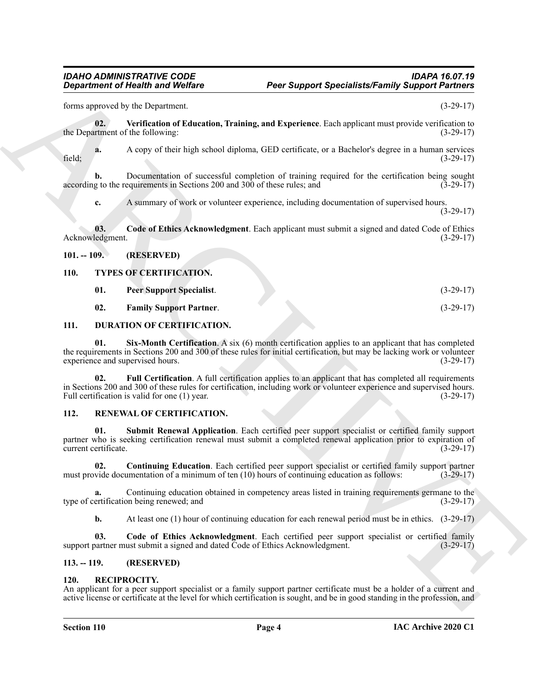forms approved by the Department. (3-29-17)

<span id="page-3-7"></span>**02. Verification of Education, Training, and Experience**. Each applicant must provide verification to the Department of the following: (3-29-17)

**a.** A copy of their high school diploma, GED certificate, or a Bachelor's degree in a human services field; (3-29-17)

**b.** Documentation of successful completion of training required for the certification being sought according to the requirements in Sections 200 and 300 of these rules; and (3-29-17)

<span id="page-3-6"></span>**c.** A summary of work or volunteer experience, including documentation of supervised hours. (3-29-17)

**03.** Code of Ethics Acknowledgment. Each applicant must submit a signed and dated Code of Ethics Acknowledgment. (3-29-17)

#### <span id="page-3-0"></span>**101. -- 109. (RESERVED)**

#### <span id="page-3-1"></span>**110. TYPES OF CERTIFICATION.**

<span id="page-3-18"></span><span id="page-3-16"></span>**01. Peer Support Specialist**. (3-29-17)

<span id="page-3-17"></span><span id="page-3-10"></span><span id="page-3-8"></span>**02. Family Support Partner**. (3-29-17)

#### <span id="page-3-2"></span>**111. DURATION OF CERTIFICATION.**

<span id="page-3-9"></span>**01. Six-Month Certification**. A six (6) month certification applies to an applicant that has completed the requirements in Sections 200 and 300 of these rules for initial certification, but may be lacking work or volunteer experience and supervised hours. (3-29-17)

**Equation of Nically and Wolfare**<br>
Equation of Nically and Wolfare<br>
Equation of Nically and Polymanna at Panamha, and Polymanna To any the services of the services of the services of the services of the services of the se **02.** Full Certification. A full certification applies to an applicant that has completed all requirements in Sections 200 and 300 of these rules for certification, including work or volunteer experience and supervised hours. Full certification is valid for one (1) year. (3-29-17)

#### <span id="page-3-12"></span><span id="page-3-3"></span>**112. RENEWAL OF CERTIFICATION.**

<span id="page-3-15"></span>**01. Submit Renewal Application**. Each certified peer support specialist or certified family support partner who is seeking certification renewal must submit a completed renewal application prior to expiration of current certificate. (3-29-17) current certificate.

<span id="page-3-14"></span>**02. Continuing Education**. Each certified peer support specialist or certified family support partner must provide documentation of a minimum of ten (10) hours of continuing education as follows: (3-29-17)

**a.** Continuing education obtained in competency areas listed in training requirements germane to the ertification being renewed; and (3-29-17) type of certification being renewed; and

<span id="page-3-13"></span>**b.** At least one (1) hour of continuing education for each renewal period must be in ethics. (3-29-17)

**03. Code of Ethics Acknowledgment**. Each certified peer support specialist or certified family support partner must submit a signed and dated Code of Ethics Acknowledgment. (3-29-17)

#### <span id="page-3-4"></span>**113. -- 119. (RESERVED)**

#### <span id="page-3-11"></span><span id="page-3-5"></span>**120. RECIPROCITY.**

An applicant for a peer support specialist or a family support partner certificate must be a holder of a current and active license or certificate at the level for which certification is sought, and be in good standing in the profession, and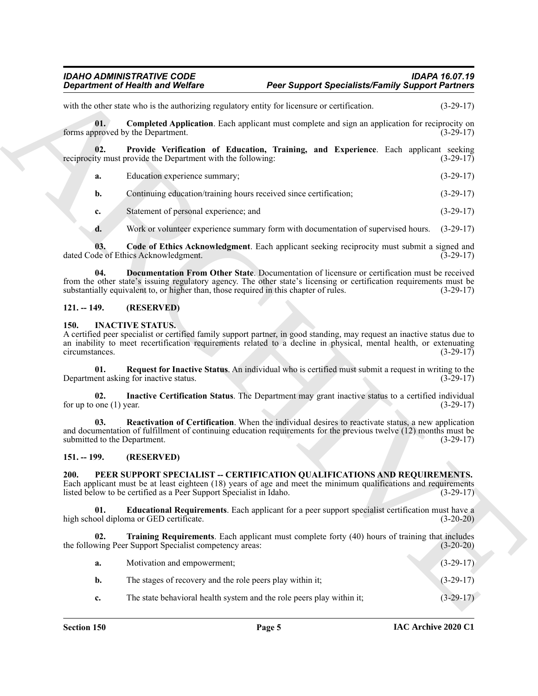#### *IDAHO ADMINISTRATIVE CODE IDAPA 16.07.19* **Peer Support Specialists/Family Support Partners**

<span id="page-4-14"></span><span id="page-4-12"></span><span id="page-4-11"></span>

| a. | Education experience summary | 12.20 |
|----|------------------------------|-------|
|    |                              |       |

#### <span id="page-4-13"></span><span id="page-4-0"></span>**121. -- 149. (RESERVED)**

#### <span id="page-4-7"></span><span id="page-4-5"></span><span id="page-4-4"></span><span id="page-4-1"></span>**150. INACTIVE STATUS.**

#### <span id="page-4-10"></span><span id="page-4-9"></span><span id="page-4-8"></span><span id="page-4-6"></span><span id="page-4-3"></span><span id="page-4-2"></span>**151. -- 199. (RESERVED)**

|                                     | <b>Department of Health and Welfare</b>                                                                                                                                                                                                                                                                      | <b>Peer Support Specialists/Family Support Partners</b> |             |  |
|-------------------------------------|--------------------------------------------------------------------------------------------------------------------------------------------------------------------------------------------------------------------------------------------------------------------------------------------------------------|---------------------------------------------------------|-------------|--|
|                                     | with the other state who is the authorizing regulatory entity for licensure or certification.                                                                                                                                                                                                                |                                                         | $(3-29-17)$ |  |
| 01.                                 | <b>Completed Application.</b> Each applicant must complete and sign an application for reciprocity on<br>forms approved by the Department.                                                                                                                                                                   |                                                         | $(3-29-17)$ |  |
| 02.                                 | Provide Verification of Education, Training, and Experience. Each applicant seeking<br>reciprocity must provide the Department with the following:                                                                                                                                                           |                                                         | $(3-29-17)$ |  |
| a.                                  | Education experience summary;                                                                                                                                                                                                                                                                                |                                                         | $(3-29-17)$ |  |
| b.                                  | Continuing education/training hours received since certification;                                                                                                                                                                                                                                            |                                                         | $(3-29-17)$ |  |
| c.                                  | Statement of personal experience; and                                                                                                                                                                                                                                                                        |                                                         | $(3-29-17)$ |  |
| d.                                  | Work or volunteer experience summary form with documentation of supervised hours.                                                                                                                                                                                                                            |                                                         | $(3-29-17)$ |  |
| 03.                                 | Code of Ethics Acknowledgment. Each applicant seeking reciprocity must submit a signed and<br>dated Code of Ethics Acknowledgment.                                                                                                                                                                           |                                                         | $(3-29-17)$ |  |
| 04.                                 | Documentation From Other State. Documentation of licensure or certification must be received<br>from the other state's issuing regulatory agency. The other state's licensing or certification requirements must be<br>substantially equivalent to, or higher than, those required in this chapter of rules. |                                                         | $(3-29-17)$ |  |
| $121. - 149.$                       | (RESERVED)                                                                                                                                                                                                                                                                                                   |                                                         |             |  |
| <b>150.</b><br>circumstances.       | <b>INACTIVE STATUS.</b><br>A certified peer specialist or certified family support partner, in good standing, may request an inactive status due to<br>an inability to meet recertification requirements related to a decline in physical, mental health, or extenuating                                     |                                                         | $(3-29-17)$ |  |
| 01.                                 | Request for Inactive Status. An individual who is certified must submit a request in writing to the<br>Department asking for inactive status.                                                                                                                                                                |                                                         | $(3-29-17)$ |  |
| 02.<br>for up to one $(1)$ year.    | Inactive Certification Status. The Department may grant inactive status to a certified individual                                                                                                                                                                                                            |                                                         | $(3-29-17)$ |  |
| 03.<br>submitted to the Department. | Reactivation of Certification. When the individual desires to reactivate status, a new application<br>and documentation of fulfillment of continuing education requirements for the previous twelve (12) months must be                                                                                      |                                                         | $(3-29-17)$ |  |
| $151. - 199.$                       | (RESERVED)                                                                                                                                                                                                                                                                                                   |                                                         |             |  |
| 200.                                | PEER SUPPORT SPECIALIST -- CERTIFICATION QUALIFICATIONS AND REQUIREMENTS.<br>Each applicant must be at least eighteen (18) years of age and meet the minimum qualifications and requirements<br>listed below to be certified as a Peer Support Specialist in Idaho.                                          |                                                         | $(3-29-17)$ |  |
| 01.                                 | Educational Requirements. Each applicant for a peer support specialist certification must have a<br>high school diploma or GED certificate.                                                                                                                                                                  |                                                         | $(3-20-20)$ |  |
| 02.                                 | Training Requirements. Each applicant must complete forty (40) hours of training that includes<br>the following Peer Support Specialist competency areas:                                                                                                                                                    |                                                         | $(3-20-20)$ |  |
| a.                                  | Motivation and empowerment;                                                                                                                                                                                                                                                                                  |                                                         | $(3-29-17)$ |  |
| b.                                  | The stages of recovery and the role peers play within it;                                                                                                                                                                                                                                                    |                                                         | $(3-29-17)$ |  |
| c.                                  | The state behavioral health system and the role peers play within it;                                                                                                                                                                                                                                        |                                                         | $(3-29-17)$ |  |
|                                     |                                                                                                                                                                                                                                                                                                              |                                                         |             |  |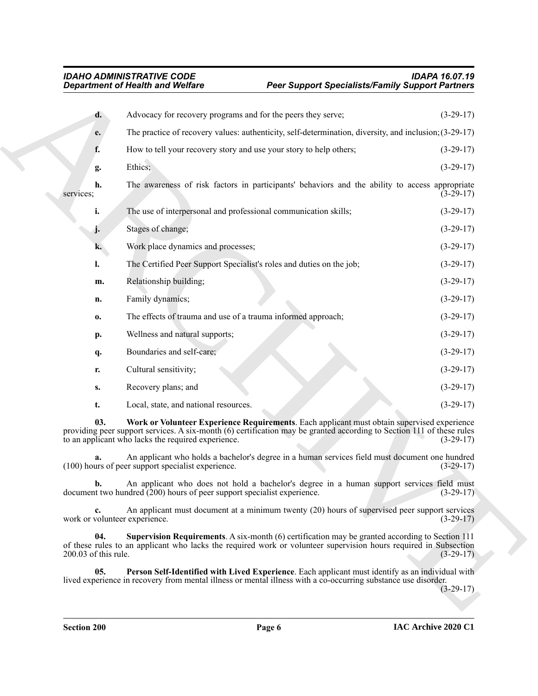<span id="page-5-2"></span><span id="page-5-1"></span><span id="page-5-0"></span>

|                             | <b>Department of Health and Welfare</b>                                   | <b>Peer Support Specialists/Family Support Partners</b>                                                                                                                                                              |             |
|-----------------------------|---------------------------------------------------------------------------|----------------------------------------------------------------------------------------------------------------------------------------------------------------------------------------------------------------------|-------------|
| d.                          | Advocacy for recovery programs and for the peers they serve;              |                                                                                                                                                                                                                      | $(3-29-17)$ |
| e.                          |                                                                           | The practice of recovery values: authenticity, self-determination, diversity, and inclusion; (3-29-17)                                                                                                               |             |
| f.                          | How to tell your recovery story and use your story to help others;        |                                                                                                                                                                                                                      | $(3-29-17)$ |
| g.                          | Ethics;                                                                   |                                                                                                                                                                                                                      | $(3-29-17)$ |
| h.<br>services;             |                                                                           | The awareness of risk factors in participants' behaviors and the ability to access appropriate                                                                                                                       | $(3-29-17)$ |
| i.                          | The use of interpersonal and professional communication skills;           |                                                                                                                                                                                                                      | $(3-29-17)$ |
| J.                          | Stages of change;                                                         |                                                                                                                                                                                                                      | $(3-29-17)$ |
| k.                          | Work place dynamics and processes;                                        |                                                                                                                                                                                                                      | $(3-29-17)$ |
| l.                          |                                                                           | The Certified Peer Support Specialist's roles and duties on the job;                                                                                                                                                 | $(3-29-17)$ |
| m.                          | Relationship building;                                                    |                                                                                                                                                                                                                      | $(3-29-17)$ |
| n.                          | Family dynamics;                                                          |                                                                                                                                                                                                                      | $(3-29-17)$ |
| 0.                          | The effects of trauma and use of a trauma informed approach;              |                                                                                                                                                                                                                      | $(3-29-17)$ |
| p.                          | Wellness and natural supports;                                            |                                                                                                                                                                                                                      | $(3-29-17)$ |
| q.                          | Boundaries and self-care;                                                 |                                                                                                                                                                                                                      | $(3-29-17)$ |
| r.                          | Cultural sensitivity;                                                     |                                                                                                                                                                                                                      | $(3-29-17)$ |
| S.                          | Recovery plans; and                                                       |                                                                                                                                                                                                                      | $(3-29-17)$ |
| t.                          | Local, state, and national resources.                                     |                                                                                                                                                                                                                      | $(3-29-17)$ |
| 03.                         | to an applicant who lacks the required experience.                        | Work or Volunteer Experience Requirements. Each applicant must obtain supervised experience<br>providing peer support services. A six-month (6) certification may be granted according to Section 111 of these rules | $(3-29-17)$ |
|                             | (100) hours of peer support specialist experience.                        | An applicant who holds a bachelor's degree in a human services field must document one hundred                                                                                                                       | $(3-29-17)$ |
| $\mathbf{b}$ .              | document two hundred $(200)$ hours of peer support specialist experience. | An applicant who does not hold a bachelor's degree in a human support services field must                                                                                                                            | $(3-29-17)$ |
| c.                          | work or volunteer experience.                                             | An applicant must document at a minimum twenty (20) hours of supervised peer support services                                                                                                                        | $(3-29-17)$ |
| 04.<br>200.03 of this rule. |                                                                           | Supervision Requirements. A six-month (6) certification may be granted according to Section 111<br>of these rules to an applicant who lacks the required work or volunteer supervision hours required in Subsection  | $(3-29-17)$ |
| 05.                         |                                                                           | Person Self-Identified with Lived Experience. Each applicant must identify as an individual with<br>lived experience in recovery from mental illness or mental illness with a co-occurring substance use disorder.   | $(3-29-17)$ |
|                             |                                                                           |                                                                                                                                                                                                                      |             |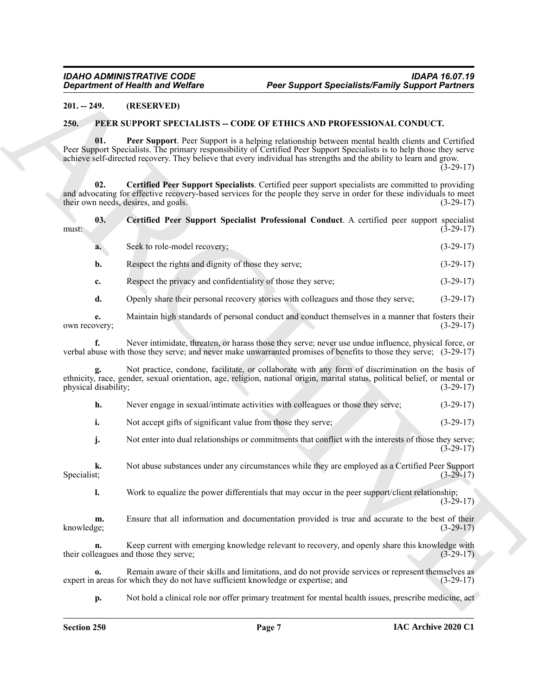#### <span id="page-6-0"></span>**201. -- 249. (RESERVED)**

#### <span id="page-6-5"></span><span id="page-6-4"></span><span id="page-6-3"></span><span id="page-6-2"></span><span id="page-6-1"></span>**250. PEER SUPPORT SPECIALISTS -- CODE OF ETHICS AND PROFESSIONAL CONDUCT.**

| <b>Department of Health and Welfare</b> |                                                                                   | <b>Peer Support Specialists/Family Support Partners</b>                                                                                                                                                                                                                                                                                           |             |  |
|-----------------------------------------|-----------------------------------------------------------------------------------|---------------------------------------------------------------------------------------------------------------------------------------------------------------------------------------------------------------------------------------------------------------------------------------------------------------------------------------------------|-------------|--|
| $201. - 249.$                           | (RESERVED)                                                                        |                                                                                                                                                                                                                                                                                                                                                   |             |  |
| 250.                                    |                                                                                   | PEER SUPPORT SPECIALISTS -- CODE OF ETHICS AND PROFESSIONAL CONDUCT.                                                                                                                                                                                                                                                                              |             |  |
| 01.                                     |                                                                                   | Peer Support. Peer Support is a helping relationship between mental health clients and Certified<br>Peer Support Specialists. The primary responsibility of Certified Peer Support Specialists is to help those they serve<br>achieve self-directed recovery. They believe that every individual has strengths and the ability to learn and grow. | $(3-29-17)$ |  |
| 02.                                     | their own needs, desires, and goals.                                              | Certified Peer Support Specialists. Certified peer support specialists are committed to providing<br>and advocating for effective recovery-based services for the people they serve in order for these individuals to meet                                                                                                                        | $(3-29-17)$ |  |
| 03.<br>must:                            |                                                                                   | Certified Peer Support Specialist Professional Conduct. A certified peer support specialist                                                                                                                                                                                                                                                       | $(3-29-17)$ |  |
| a.                                      | Seek to role-model recovery;                                                      |                                                                                                                                                                                                                                                                                                                                                   | $(3-29-17)$ |  |
| b.                                      | Respect the rights and dignity of those they serve;                               |                                                                                                                                                                                                                                                                                                                                                   | $(3-29-17)$ |  |
| c.                                      | Respect the privacy and confidentiality of those they serve;                      |                                                                                                                                                                                                                                                                                                                                                   | $(3-29-17)$ |  |
| d.                                      |                                                                                   | Openly share their personal recovery stories with colleagues and those they serve;                                                                                                                                                                                                                                                                | $(3-29-17)$ |  |
| e.<br>own recovery;                     |                                                                                   | Maintain high standards of personal conduct and conduct themselves in a manner that fosters their                                                                                                                                                                                                                                                 | $(3-29-17)$ |  |
| f.                                      |                                                                                   | Never intimidate, threaten, or harass those they serve; never use undue influence, physical force, or<br>verbal abuse with those they serve; and never make unwarranted promises of benefits to those they serve; (3-29-17)                                                                                                                       |             |  |
| physical disability;                    |                                                                                   | Not practice, condone, facilitate, or collaborate with any form of discrimination on the basis of<br>ethnicity, race, gender, sexual orientation, age, religion, national origin, marital status, political belief, or mental or                                                                                                                  | $(3-29-17)$ |  |
| h.                                      |                                                                                   | Never engage in sexual/intimate activities with colleagues or those they serve;                                                                                                                                                                                                                                                                   | $(3-29-17)$ |  |
| i.                                      | Not accept gifts of significant value from those they serve;                      |                                                                                                                                                                                                                                                                                                                                                   | $(3-29-17)$ |  |
| j.                                      |                                                                                   | Not enter into dual relationships or commitments that conflict with the interests of those they serve;                                                                                                                                                                                                                                            | $(3-29-17)$ |  |
| k.<br>Specialist;                       |                                                                                   | Not abuse substances under any circumstances while they are employed as a Certified Peer Support                                                                                                                                                                                                                                                  | $(3-29-17)$ |  |
| 1.                                      |                                                                                   | Work to equalize the power differentials that may occur in the peer support/client relationship;                                                                                                                                                                                                                                                  | $(3-29-17)$ |  |
| m.<br>knowledge;                        |                                                                                   | Ensure that all information and documentation provided is true and accurate to the best of their                                                                                                                                                                                                                                                  | $(3-29-17)$ |  |
| n.                                      | their colleagues and those they serve;                                            | Keep current with emerging knowledge relevant to recovery, and openly share this knowledge with                                                                                                                                                                                                                                                   | $(3-29-17)$ |  |
| 0.                                      | expert in areas for which they do not have sufficient knowledge or expertise; and | Remain aware of their skills and limitations, and do not provide services or represent themselves as                                                                                                                                                                                                                                              | $(3-29-17)$ |  |
| p.                                      |                                                                                   | Not hold a clinical role nor offer primary treatment for mental health issues, prescribe medicine, act                                                                                                                                                                                                                                            |             |  |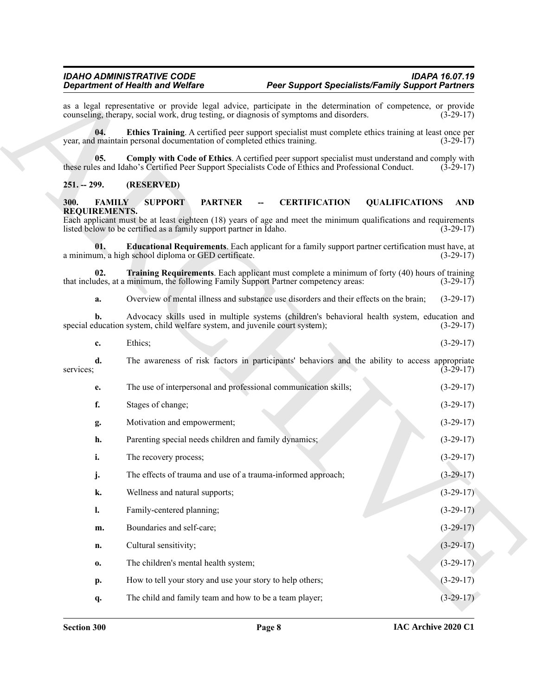#### <span id="page-7-6"></span><span id="page-7-5"></span><span id="page-7-0"></span>**251. -- 299. (RESERVED)**

#### <span id="page-7-3"></span><span id="page-7-2"></span><span id="page-7-1"></span>**300. FAMILY SUPPORT PARTNER -- CERTIFICATION QUALIFICATIONS AND REQUIREMENTS.**

<span id="page-7-4"></span>

| $\mathbf{r}$ | Ethics: |  | $(3-29-17)$ |
|--------------|---------|--|-------------|
|              |         |  |             |

| <b>Department of Health and Welfare</b>              |                                                                                                                                                                                                                           | <b>Peer Support Specialists/Family Support Partners</b> |                       |                    |
|------------------------------------------------------|---------------------------------------------------------------------------------------------------------------------------------------------------------------------------------------------------------------------------|---------------------------------------------------------|-----------------------|--------------------|
|                                                      | as a legal representative or provide legal advice, participate in the determination of competence, or provide<br>counseling, therapy, social work, drug testing, or diagnosis of symptoms and disorders.                  |                                                         |                       | $(3-29-17)$        |
| 04.                                                  | Ethics Training. A certified peer support specialist must complete ethics training at least once per<br>year, and maintain personal documentation of completed ethics training.                                           |                                                         |                       | $(3-29-17)$        |
| 05.                                                  | Comply with Code of Ethics. A certified peer support specialist must understand and comply with<br>these rules and Idaho's Certified Peer Support Specialists Code of Ethics and Professional Conduct.                    |                                                         |                       | $(3-29-17)$        |
| $251. - 299.$                                        | (RESERVED)                                                                                                                                                                                                                |                                                         |                       |                    |
| <b>FAMILY</b><br><b>300.</b><br><b>REQUIREMENTS.</b> | <b>SUPPORT</b><br><b>PARTNER</b><br>Each applicant must be at least eighteen (18) years of age and meet the minimum qualifications and requirements<br>listed below to be certified as a family support partner in Idaho. | <b>CERTIFICATION</b>                                    | <b>QUALIFICATIONS</b> | AND<br>$(3-29-17)$ |
| 01.                                                  | <b>Educational Requirements</b> . Each applicant for a family support partner certification must have, at<br>a minimum, a high school diploma or GED certificate.                                                         |                                                         |                       | $(3-29-17)$        |
| 02.                                                  | Training Requirements. Each applicant must complete a minimum of forty (40) hours of training<br>that includes, at a minimum, the following Family Support Partner competency areas:                                      |                                                         |                       | $(3-29-17)$        |
| a.                                                   | Overview of mental illness and substance use disorders and their effects on the brain;                                                                                                                                    |                                                         |                       | $(3-29-17)$        |
| b.                                                   | Advocacy skills used in multiple systems (children's behavioral health system, education and<br>special education system, child welfare system, and juvenile court system);                                               |                                                         |                       | $(3-29-17)$        |
| c.                                                   | Ethics;                                                                                                                                                                                                                   |                                                         |                       | $(3-29-17)$        |
| d.<br>services;                                      | The awareness of risk factors in participants' behaviors and the ability to access appropriate                                                                                                                            |                                                         |                       | $(3-29-17)$        |
| е.                                                   | The use of interpersonal and professional communication skills;                                                                                                                                                           |                                                         |                       | $(3-29-17)$        |
| f.                                                   | Stages of change;                                                                                                                                                                                                         |                                                         |                       | $(3-29-17)$        |
| g.                                                   | Motivation and empowerment;                                                                                                                                                                                               |                                                         |                       | $(3-29-17)$        |
| h.                                                   | Parenting special needs children and family dynamics;                                                                                                                                                                     |                                                         |                       | $(3-29-17)$        |
| i.                                                   | The recovery process;                                                                                                                                                                                                     |                                                         |                       | $(3-29-17)$        |
| j.                                                   | The effects of trauma and use of a trauma-informed approach;                                                                                                                                                              |                                                         |                       | $(3-29-17)$        |
| $\mathbf{k}$ .                                       | Wellness and natural supports;                                                                                                                                                                                            |                                                         |                       | $(3-29-17)$        |
| $\mathbf{l}$ .                                       | Family-centered planning;                                                                                                                                                                                                 |                                                         |                       | $(3-29-17)$        |
| m.                                                   | Boundaries and self-care;                                                                                                                                                                                                 |                                                         |                       | $(3-29-17)$        |
| n.                                                   | Cultural sensitivity;                                                                                                                                                                                                     |                                                         |                       | $(3-29-17)$        |
| 0.                                                   | The children's mental health system;                                                                                                                                                                                      |                                                         |                       | $(3-29-17)$        |
| p.                                                   | How to tell your story and use your story to help others;                                                                                                                                                                 |                                                         |                       | $(3-29-17)$        |
| q.                                                   | The child and family team and how to be a team player;                                                                                                                                                                    |                                                         |                       | $(3-29-17)$        |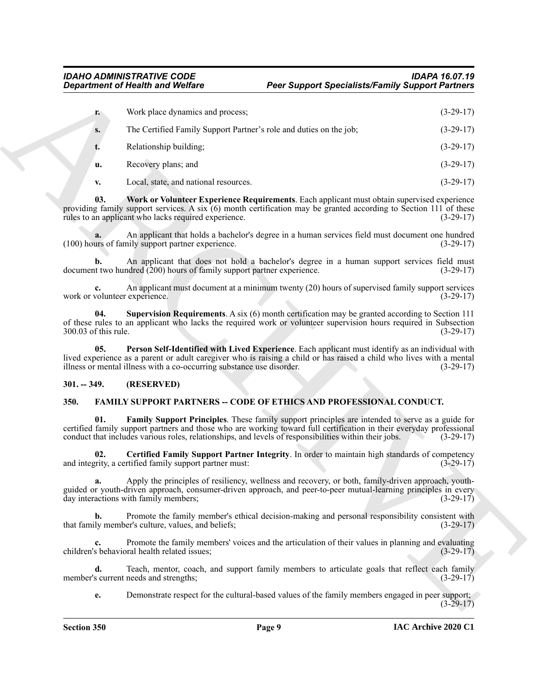<span id="page-8-4"></span>

|                                     | <b>Department of Health and Welfare</b>                                | <b>Peer Support Specialists/Family Support Partners</b>                                                                                                                                                                                                                                                                          |             |
|-------------------------------------|------------------------------------------------------------------------|----------------------------------------------------------------------------------------------------------------------------------------------------------------------------------------------------------------------------------------------------------------------------------------------------------------------------------|-------------|
| r.                                  | Work place dynamics and process;                                       |                                                                                                                                                                                                                                                                                                                                  | $(3-29-17)$ |
| S.                                  | The Certified Family Support Partner's role and duties on the job;     |                                                                                                                                                                                                                                                                                                                                  | $(3-29-17)$ |
| t.                                  | Relationship building;                                                 |                                                                                                                                                                                                                                                                                                                                  | $(3-29-17)$ |
| u.                                  | Recovery plans; and                                                    |                                                                                                                                                                                                                                                                                                                                  | $(3-29-17)$ |
| v.                                  | Local, state, and national resources.                                  |                                                                                                                                                                                                                                                                                                                                  | $(3-29-17)$ |
| 03.                                 | rules to an applicant who lacks required experience.                   | Work or Volunteer Experience Requirements. Each applicant must obtain supervised experience<br>providing family support services. A six (6) month certification may be granted according to Section 111 of these                                                                                                                 | $(3-29-17)$ |
| a.                                  | (100) hours of family support partner experience.                      | An applicant that holds a bachelor's degree in a human services field must document one hundred                                                                                                                                                                                                                                  | $(3-29-17)$ |
| b.                                  | document two hundred (200) hours of family support partner experience. | An applicant that does not hold a bachelor's degree in a human support services field must                                                                                                                                                                                                                                       | $(3-29-17)$ |
| c.<br>work or volunteer experience. |                                                                        | An applicant must document at a minimum twenty (20) hours of supervised family support services                                                                                                                                                                                                                                  | $(3-29-17)$ |
| 04.<br>300.03 of this rule.         |                                                                        | Supervision Requirements. A six $(6)$ month certification may be granted according to Section 111<br>of these rules to an applicant who lacks the required work or volunteer supervision hours required in Subsection                                                                                                            | $(3-29-17)$ |
| 0 <sub>5</sub>                      | illness or mental illness with a co-occurring substance use disorder.  | Person Self-Identified with Lived Experience. Each applicant must identify as an individual with<br>lived experience as a parent or adult caregiver who is raising a child or has raised a child who lives with a mental                                                                                                         | $(3-29-17)$ |
| $301. - 349.$                       | (RESERVED)                                                             |                                                                                                                                                                                                                                                                                                                                  |             |
| 350.                                |                                                                        | <b>FAMILY SUPPORT PARTNERS -- CODE OF ETHICS AND PROFESSIONAL CONDUCT.</b>                                                                                                                                                                                                                                                       |             |
| 01.                                 |                                                                        | Family Support Principles. These family support principles are intended to serve as a guide for<br>certified family support partners and those who are working toward full certification in their everyday professional<br>conduct that includes various roles, relationships, and levels of responsibilities within their jobs. | $(3-29-17)$ |
| 02.                                 | and integrity, a certified family support partner must:                | Certified Family Support Partner Integrity. In order to maintain high standards of competency                                                                                                                                                                                                                                    | $(3-29-17)$ |
| a.                                  | day interactions with family members;                                  | Apply the principles of resiliency, wellness and recovery, or both, family-driven approach, youth-<br>guided or youth-driven approach, consumer-driven approach, and peer-to-peer mutual-learning principles in every                                                                                                            | $(3-29-17)$ |
| b.                                  | that family member's culture, values, and beliefs;                     | Promote the family member's ethical decision-making and personal responsibility consistent with                                                                                                                                                                                                                                  | $(3-29-17)$ |
| c.                                  | children's behavioral health related issues;                           | Promote the family members' voices and the articulation of their values in planning and evaluating                                                                                                                                                                                                                               | $(3-29-17)$ |
| d.                                  | member's current needs and strengths;                                  | Teach, mentor, coach, and support family members to articulate goals that reflect each family                                                                                                                                                                                                                                    | $(3-29-17)$ |
|                                     |                                                                        |                                                                                                                                                                                                                                                                                                                                  |             |

#### <span id="page-8-3"></span><span id="page-8-2"></span><span id="page-8-0"></span>**301. -- 349. (RESERVED)**

#### <span id="page-8-6"></span><span id="page-8-5"></span><span id="page-8-1"></span>**350. FAMILY SUPPORT PARTNERS -- CODE OF ETHICS AND PROFESSIONAL CONDUCT.**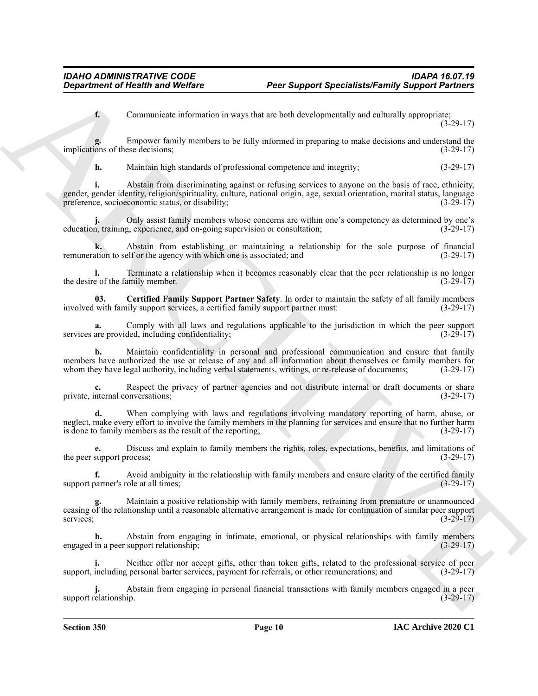**f.** Communicate information in ways that are both developmentally and culturally appropriate; (3-29-17)

**g.** Empower family members to be fully informed in preparing to make decisions and understand the implications of these decisions; (3-29-17)

**h.** Maintain high standards of professional competence and integrity; (3-29-17)

**Expansion of Nearlth wave Wolfare** Press Support Specialist Family Support Particular<br>
Communication Eastern and Model and Society Research and Society Research and Society Research 2013<br>
In the company of the state of t **i.** Abstain from discriminating against or refusing services to anyone on the basis of race, ethnicity, gender, gender identity, religion/spirituality, culture, national origin, age, sexual orientation, marital status, language preference, socioeconomic status, or disability; (3-29-17)

**j.** Only assist family members whose concerns are within one's competency as determined by one's education, training, experience, and on-going supervision or consultation; (3-29-17)

**k.** Abstain from establishing or maintaining a relationship for the sole purpose of financial remuneration to self or the agency with which one is associated; and (3-29-17)

**l.** Terminate a relationship when it becomes reasonably clear that the peer relationship is no longer the desire of the family member. (3-29-17) (3-29-17)

<span id="page-9-0"></span>**03. Certified Family Support Partner Safety**. In order to maintain the safety of all family members involved with family support services, a certified family support partner must: (3-29-17)

**a.** Comply with all laws and regulations applicable to the jurisdiction in which the peer support services are provided, including confidentiality; (3-29-17)

**b.** Maintain confidentiality in personal and professional communication and ensure that family members have authorized the use or release of any and all information about themselves or family members for whom they have legal authority, including verbal statements, writings, or re-release of documents; (3-29-17) whom they have legal authority, including verbal statements, writings, or re-release of documents;

**c.** Respect the privacy of partner agencies and not distribute internal or draft documents or share private, internal conversations; (3-29-17)

**d.** When complying with laws and regulations involving mandatory reporting of harm, abuse, or neglect, make every effort to involve the family members in the planning for services and ensure that no further harm is done to family members as the result of the reporting; (3-29-17)

**e.** Discuss and explain to family members the rights, roles, expectations, benefits, and limitations of the peer support process; (3-29-17)

**f.** Avoid ambiguity in the relationship with family members and ensure clarity of the certified family partner's role at all times; (3-29-17) support partner's role at all times;

**g.** Maintain a positive relationship with family members, refraining from premature or unannounced ceasing of the relationship until a reasonable alternative arrangement is made for continuation of similar peer support services;  $(3-29-17)$ 

**h.** Abstain from engaging in intimate, emotional, or physical relationships with family members engaged in a peer support relationship; (3-29-17)

**i.** Neither offer nor accept gifts, other than token gifts, related to the professional service of peer support, including personal barter services, payment for referrals, or other remunerations; and (3-29-17)

**j.** Abstain from engaging in personal financial transactions with family members engaged in a peer support relationship. (3-29-17)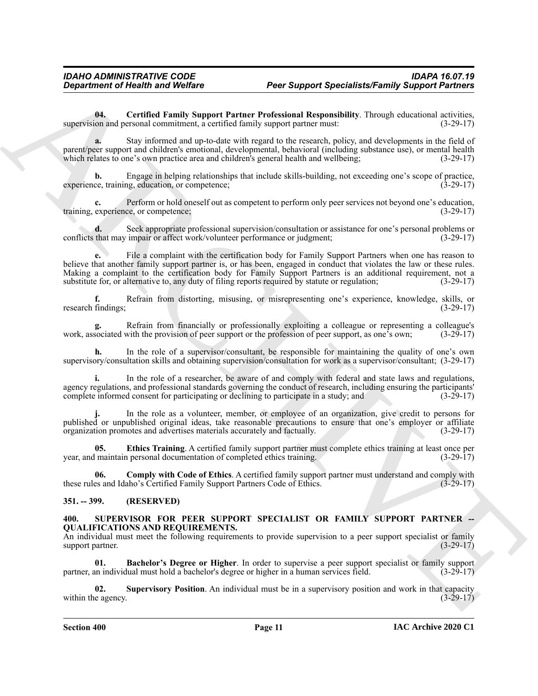<span id="page-10-2"></span>**04. Certified Family Support Partner Professional Responsibility**. Through educational activities, supervision and personal commitment, a certified family support partner must: (3-29-17)

**a.** Stay informed and up-to-date with regard to the research, policy, and developments in the field of parent/peer support and children's emotional, developmental, behavioral (including substance use), or mental health which relates to one's own practice area and children's general health and wellbeing; (3-29-17) which relates to one's own practice area and children's general health and wellbeing;

**b.** Engage in helping relationships that include skills-building, not exceeding one's scope of practice, ce, training, education, or competence; experience, training, education, or competence;

**c.** Perform or hold oneself out as competent to perform only peer services not beyond one's education, experience, or competence; training, experience, or competence;

**d.** Seek appropriate professional supervision/consultation or assistance for one's personal problems or that may impair or affect work/volunteer performance or judgment; (3-29-17) conflicts that may impair or affect work/volunteer performance or judgment;

**Department of Nearth was Wolfare**<br> **Poer Support Specialists-Family Support Specialists-Family Support Specialists-Family Support Specialists.**<br>
support specialistic procedure and the total the specialistic Procedure and **e.** File a complaint with the certification body for Family Support Partners when one has reason to believe that another family support partner is, or has been, engaged in conduct that violates the law or these rules. Making a complaint to the certification body for Family Support Partners is an additional requirement, not a substitute for, or alternative to, any duty of filing reports required by statute or regulation; (3-29-17)

**f.** Refrain from distorting, misusing, or misrepresenting one's experience, knowledge, skills, or research findings; (3-29-17)

**g.** Refrain from financially or professionally exploiting a colleague or representing a colleague's work, associated with the provision of peer support or the profession of peer support, as one's own; (3-29-17)

**h.** In the role of a supervisor/consultant, be responsible for maintaining the quality of one's own supervisory/consultation skills and obtaining supervision/consultation for work as a supervisor/consultant; (3-29-17)

**i.** In the role of a researcher, be aware of and comply with federal and state laws and regulations, agency regulations, and professional standards governing the conduct of research, including ensuring the participants' complete informed consent for participating or declining to participate in a study; and (3-29-17)

**j.** In the role as a volunteer, member, or employee of an organization, give credit to persons for published or unpublished original ideas, take reasonable precautions to ensure that one's employer or affiliate organization promotes and advertises materials accurately and factually. (3-29-17)

<span id="page-10-4"></span>**05. Ethics Training**. A certified family support partner must complete ethics training at least once per year, and maintain personal documentation of completed ethics training. (3-29-17)

<span id="page-10-3"></span>**06.** Comply with Code of Ethics. A certified family support partner must understand and comply with es and Idaho's Certified Family Support Partners Code of Ethics. (3-29-17) these rules and Idaho's Certified Family Support Partners Code of Ethics.

#### <span id="page-10-0"></span>**351. -- 399. (RESERVED)**

## <span id="page-10-5"></span><span id="page-10-1"></span>**400. SUPERVISOR FOR PEER SUPPORT SPECIALIST OR FAMILY SUPPORT PARTNER -- QUALIFICATIONS AND REQUIREMENTS.**

An individual must meet the following requirements to provide supervision to a peer support specialist or family support partner. (3-29-17)

<span id="page-10-6"></span>**01. Bachelor's Degree or Higher**. In order to supervise a peer support specialist or family support partner, an individual must hold a bachelor's degree or higher in a human services field. (3-29-17)

<span id="page-10-7"></span>**02. Supervisory Position**. An individual must be in a supervisory position and work in that capacity within the agency. (3-29-17)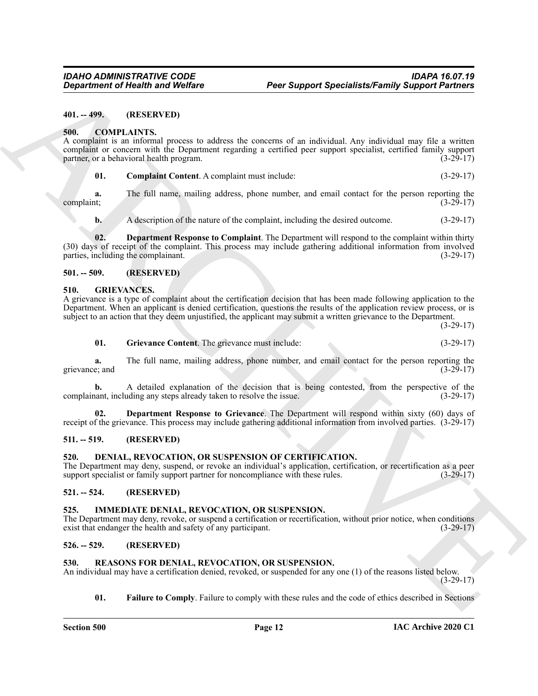#### <span id="page-11-0"></span>**401. -- 499. (RESERVED)**

#### <span id="page-11-10"></span><span id="page-11-1"></span>**500. COMPLAINTS.**

Great friend the health was Welfare **Peer Support Specialists Family Support Partners**<br>
401. CO HULANTES<br>
A. CO HULANTES<br>
A. CO HULANTES<br>
A. CO HULANTES<br>
A. CO HULANTES<br>
A. CO HULANTES<br>
A. COMPLEMITE process to school to A complaint is an informal process to address the concerns of an individual. Any individual may file a written complaint or concern with the Department regarding a certified peer support specialist, certified family support partner, or a behavioral health program. partner, or a behavioral health program.

<span id="page-11-11"></span>**01. Complaint Content**. A complaint must include: (3-29-17)

**a.** The full name, mailing address, phone number, and email contact for the person reporting the  $\text{complaint};$  (3-29-17)

<span id="page-11-12"></span>**b.** A description of the nature of the complaint, including the desired outcome. (3-29-17)

**02. Department Response to Complaint**. The Department will respond to the complaint within thirty (30) days of receipt of the complaint. This process may include gathering additional information from involved parties, including the complainant. (3-29-17)

#### <span id="page-11-2"></span>**501. -- 509. (RESERVED)**

#### <span id="page-11-14"></span><span id="page-11-3"></span>**510. GRIEVANCES.**

A grievance is a type of complaint about the certification decision that has been made following application to the Department. When an applicant is denied certification, questions the results of the application review process, or is subject to an action that they deem unjustified, the applicant may submit a written grievance to the Department.

(3-29-17)

<span id="page-11-16"></span>**01. Grievance Content**. The grievance must include: (3-29-17)

**a.** The full name, mailing address, phone number, and email contact for the person reporting the example is and grievance; and

**b.** A detailed explanation of the decision that is being contested, from the perspective of the complainant, including any steps already taken to resolve the issue. (3-29-17)

<span id="page-11-15"></span>**02. Department Response to Grievance**. The Department will respond within sixty (60) days of receipt of the grievance. This process may include gathering additional information from involved parties. (3-29-17)

#### <span id="page-11-4"></span>**511. -- 519. (RESERVED)**

#### <span id="page-11-13"></span><span id="page-11-5"></span>**520. DENIAL, REVOCATION, OR SUSPENSION OF CERTIFICATION.**

The Department may deny, suspend, or revoke an individual's application, certification, or recertification as a peer support specialist or family support partner for noncompliance with these rules. (3-29-17)

#### <span id="page-11-6"></span>**521. -- 524. (RESERVED)**

#### <span id="page-11-17"></span><span id="page-11-7"></span>**525. IMMEDIATE DENIAL, REVOCATION, OR SUSPENSION.**

The Department may deny, revoke, or suspend a certification or recertification, without prior notice, when conditions exist that endanger the health and safety of any participant. (3-29-17)

#### <span id="page-11-8"></span>**526. -- 529. (RESERVED)**

#### <span id="page-11-18"></span><span id="page-11-9"></span>**530. REASONS FOR DENIAL, REVOCATION, OR SUSPENSION.**

An individual may have a certification denied, revoked, or suspended for any one (1) of the reasons listed below. (3-29-17)

<span id="page-11-19"></span>**01.** Failure to Comply. Failure to comply with these rules and the code of ethics described in Sections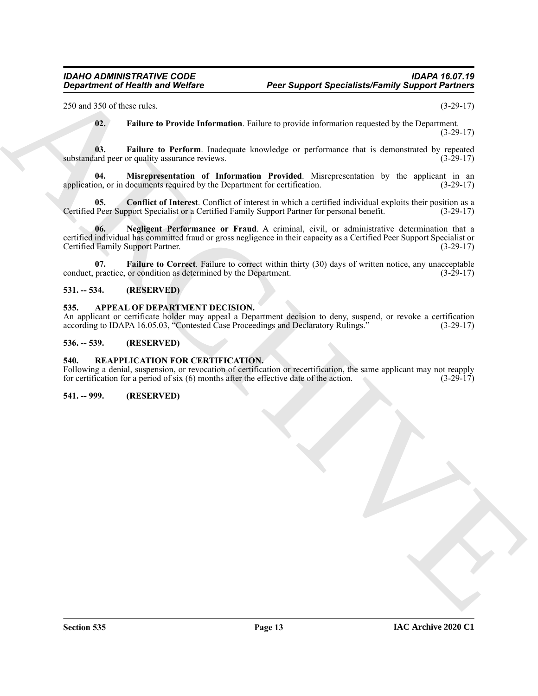250 and 350 of these rules. (3-29-17)

<span id="page-12-11"></span><span id="page-12-10"></span><span id="page-12-9"></span>**02. Failure to Provide Information**. Failure to provide information requested by the Department. (3-29-17)

**03.** Failure to Perform. Inadequate knowledge or performance that is demonstrated by repeated ard peer or quality assurance reviews. (3-29-17) substandard peer or quality assurance reviews.

**04. Misrepresentation of Information Provided**. Misrepresentation by the applicant in an application, or in documents required by the Department for certification. (3-29-17)

<span id="page-12-12"></span><span id="page-12-7"></span>**05.** Conflict of Interest. Conflict of interest in which a certified individual exploits their position as a Peer Support Specialist or a Certified Family Support Partner for personal benefit. (3-29-17) Certified Peer Support Specialist or a Certified Family Support Partner for personal benefit.

Generation of Nearly was Wolfare Peer Support SpecialiteLF-amily Support Partners<br>
259 and 259 class exists the New Method Information Failure is practic information regarded by the Date means 11<br>
10. Failure in Product I **06. Negligent Performance or Fraud**. A criminal, civil, or administrative determination that a certified individual has committed fraud or gross negligence in their capacity as a Certified Peer Support Specialist or Certified Family Support Partner.

<span id="page-12-8"></span>**07. Failure to Correct**. Failure to correct within thirty (30) days of written notice, any unacceptable practice, or condition as determined by the Department. conduct, practice, or condition as determined by the Department.

#### <span id="page-12-0"></span>**531. -- 534. (RESERVED)**

#### <span id="page-12-5"></span><span id="page-12-1"></span>**535. APPEAL OF DEPARTMENT DECISION.**

An applicant or certificate holder may appeal a Department decision to deny, suspend, or revoke a certification according to IDAPA 16.05.03, "Contested Case Proceedings and Declaratory Rulings." (3-29-17) according to IDAPA 16.05.03, "Contested Case Proceedings and Declaratory Rulings."

#### <span id="page-12-2"></span>**536. -- 539. (RESERVED)**

#### <span id="page-12-6"></span><span id="page-12-3"></span>**540. REAPPLICATION FOR CERTIFICATION.**

Following a denial, suspension, or revocation of certification or recertification, the same applicant may not reapply for certification for a period of six (6) months after the effective date of the action. (3-29-17) for certification for a period of six  $(6)$  months after the effective date of the action.

#### <span id="page-12-4"></span>**541. -- 999. (RESERVED)**